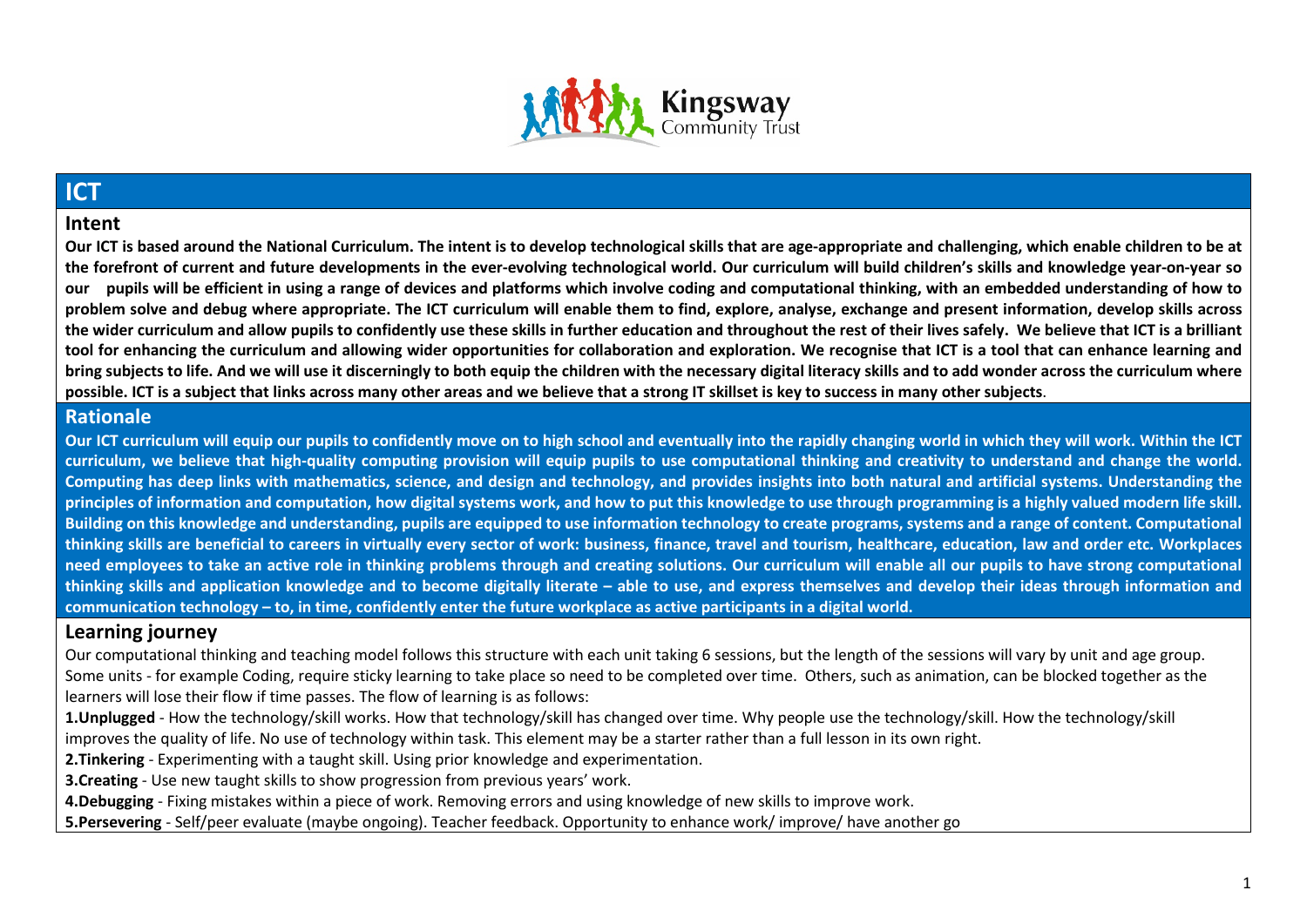

## **ICT**

#### **Intent**

**Our ICT is based around the National Curriculum. The intent is to develop technological skills that are age-appropriate and challenging, which enable children to be at the forefront of current and future developments in the ever-evolving technological world. Our curriculum will build children's skills and knowledge year-on-year so our pupils will be efficient in using a range of devices and platforms which involve coding and computational thinking, with an embedded understanding of how to problem solve and debug where appropriate. The ICT curriculum will enable them to find, explore, analyse, exchange and present information, develop skills across the wider curriculum and allow pupils to confidently use these skills in further education and throughout the rest of their lives safely. We believe that ICT is a brilliant tool for enhancing the curriculum and allowing wider opportunities for collaboration and exploration. We recognise that ICT is a tool that can enhance learning and bring subjects to life. And we will use it discerningly to both equip the children with the necessary digital literacy skills and to add wonder across the curriculum where possible. ICT is a subject that links across many other areas and we believe that a strong IT skillset is key to success in many other subjects**.

#### **Rationale**

**Our ICT curriculum will equip our pupils to confidently move on to high school and eventually into the rapidly changing world in which they will work. Within the ICT curriculum, we believe that high-quality computing provision will equip pupils to use computational thinking and creativity to understand and change the world. Computing has deep links with mathematics, science, and design and technology, and provides insights into both natural and artificial systems. Understanding the principles of information and computation, how digital systems work, and how to put this knowledge to use through programming is a highly valued modern life skill. Building on this knowledge and understanding, pupils are equipped to use information technology to create programs, systems and a range of content. Computational thinking skills are beneficial to careers in virtually every sector of work: business, finance, travel and tourism, healthcare, education, law and order etc. Workplaces need employees to take an active role in thinking problems through and creating solutions. Our curriculum will enable all our pupils to have strong computational thinking skills and application knowledge and to become digitally literate – able to use, and express themselves and develop their ideas through information and communication technology – to, in time, confidently enter the future workplace as active participants in a digital world.** 

#### **Learning journey**

Our computational thinking and teaching model follows this structure with each unit taking 6 sessions, but the length of the sessions will vary by unit and age group. Some units - for example Coding, require sticky learning to take place so need to be completed over time. Others, such as animation, can be blocked together as the learners will lose their flow if time passes. The flow of learning is as follows:

**1.Unplugged** - How the technology/skill works. How that technology/skill has changed over time. Why people use the technology/skill. How the technology/skill improves the quality of life. No use of technology within task. This element may be a starter rather than a full lesson in its own right.

**2.Tinkering** - Experimenting with a taught skill. Using prior knowledge and experimentation.

**3.Creating** - Use new taught skills to show progression from previous years' work.

**4.Debugging** - Fixing mistakes within a piece of work. Removing errors and using knowledge of new skills to improve work.

**5.Persevering** - Self/peer evaluate (maybe ongoing). Teacher feedback. Opportunity to enhance work/ improve/ have another go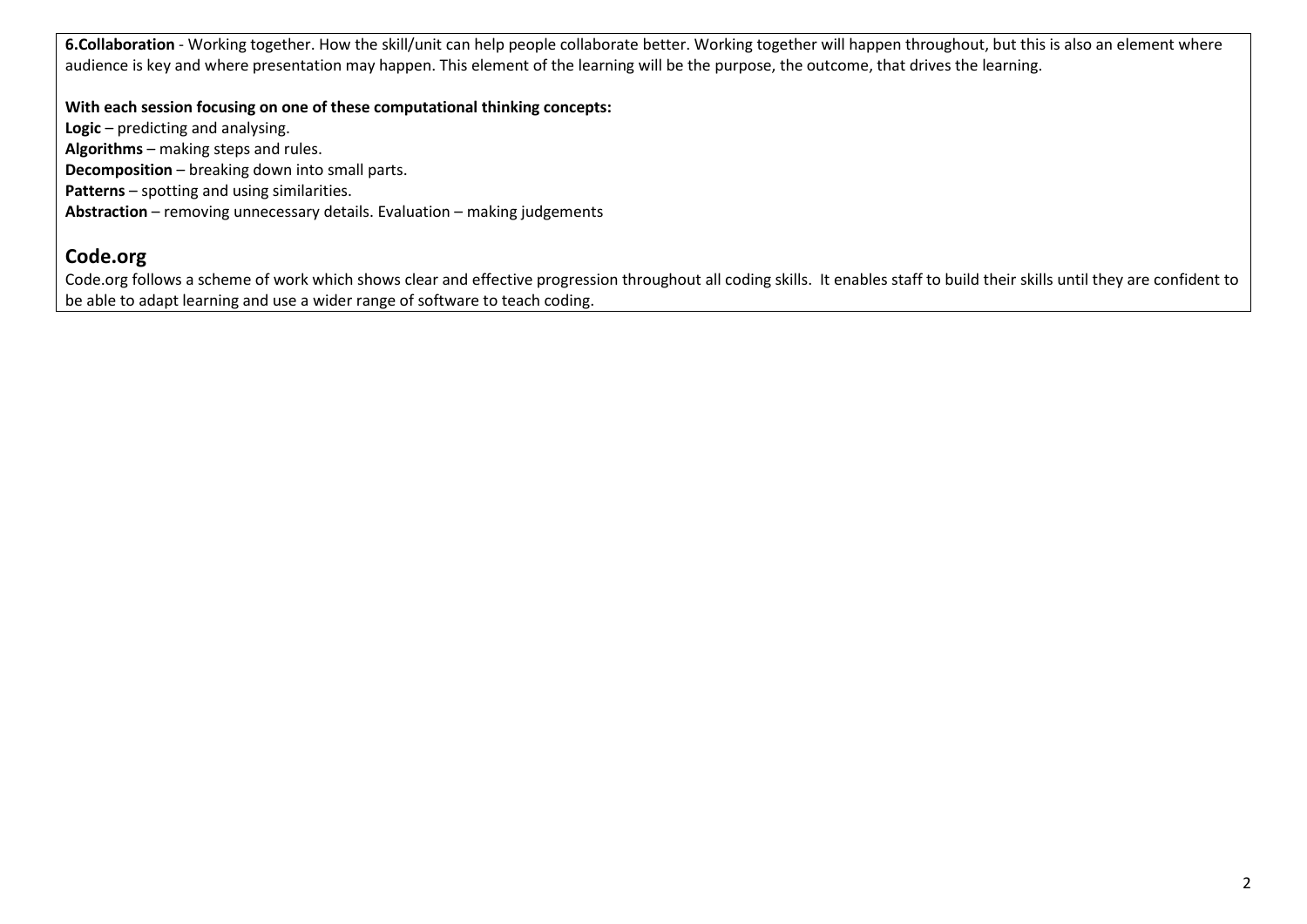**6.Collaboration** - Working together. How the skill/unit can help people collaborate better. Working together will happen throughout, but this is also an element where audience is key and where presentation may happen. This element of the learning will be the purpose, the outcome, that drives the learning.

**With each session focusing on one of these computational thinking concepts:**

**Logic** – predicting and analysing. **Algorithms** – making steps and rules. **Decomposition** – breaking down into small parts. **Patterns** – spotting and using similarities. **Abstraction** – removing unnecessary details. Evaluation – making judgements

### **Code.org**

Code.org follows a scheme of work which shows clear and effective progression throughout all coding skills. It enables staff to build their skills until they are confident to be able to adapt learning and use a wider range of software to teach coding.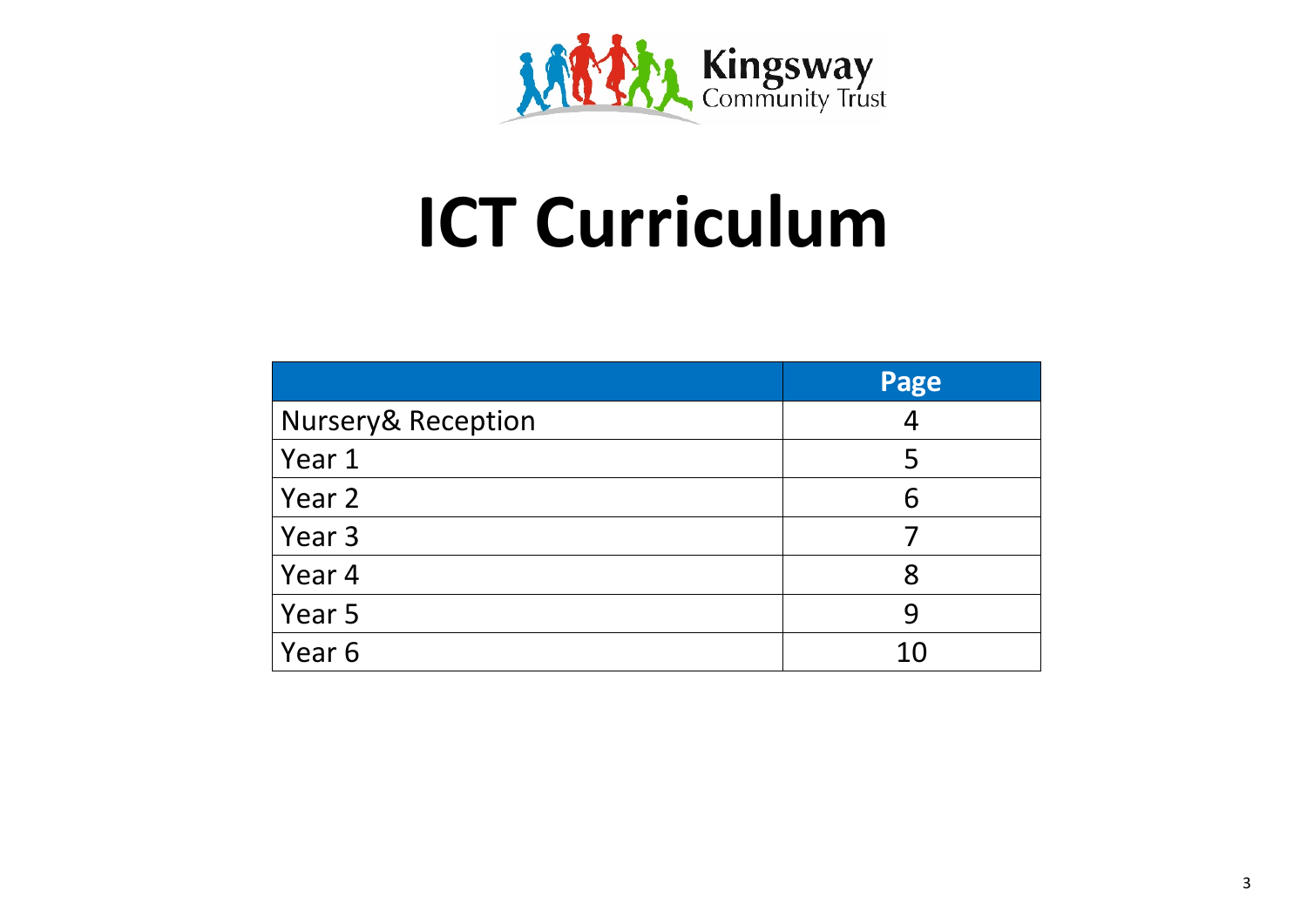

# **ICT Curriculum**

|                               | Page           |
|-------------------------------|----------------|
| <b>Nursery&amp; Reception</b> | $\overline{A}$ |
| Year 1                        | 5              |
| Year 2                        | 6              |
| Year 3                        |                |
| Year 4                        | 8              |
| Year 5                        | 9              |
| Year 6                        | 10             |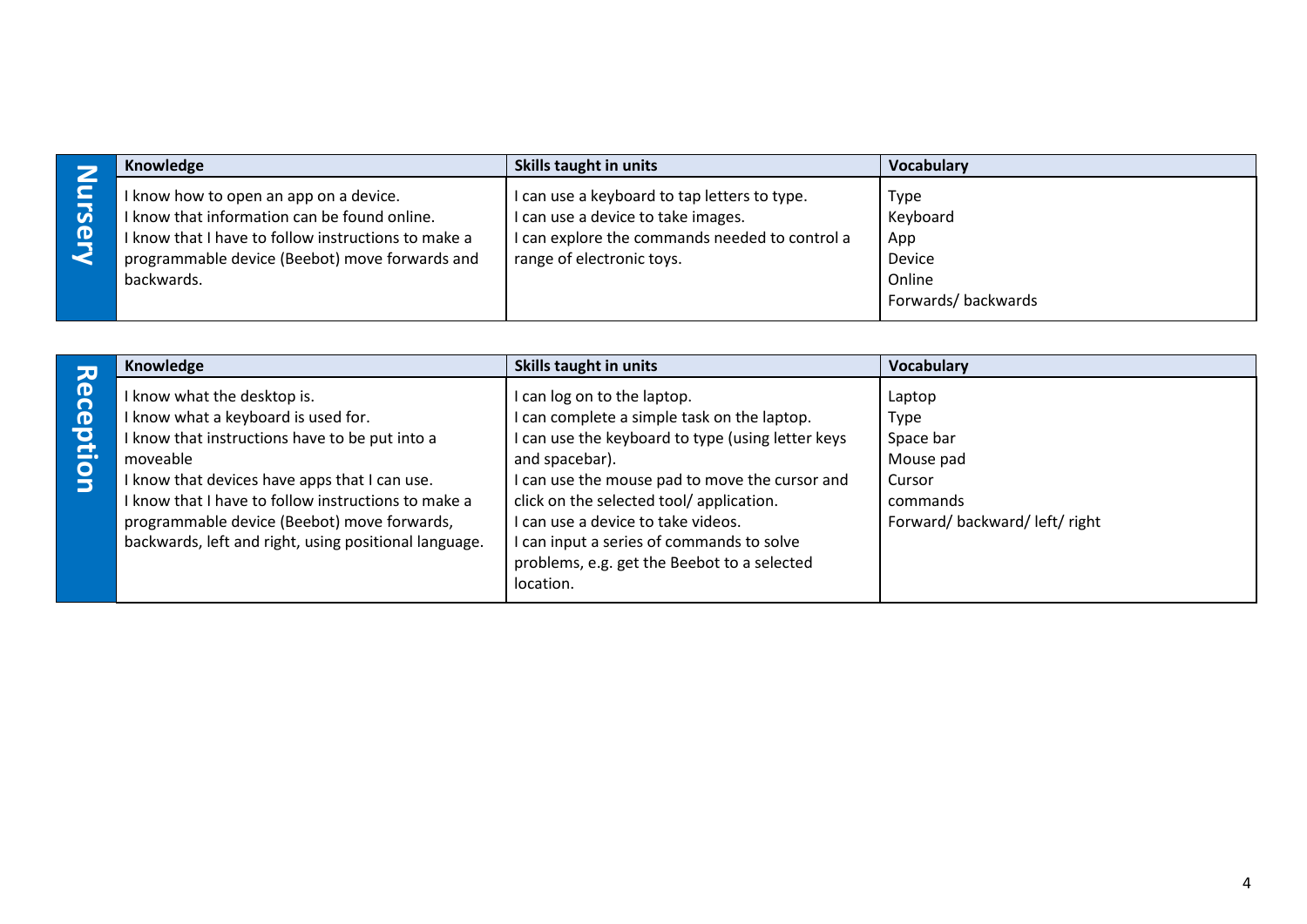|        | Knowledge                                                                                                                                                                                                     | Skills taught in units                                                                                                                                            | <b>Vocabulary</b>                                                 |
|--------|---------------------------------------------------------------------------------------------------------------------------------------------------------------------------------------------------------------|-------------------------------------------------------------------------------------------------------------------------------------------------------------------|-------------------------------------------------------------------|
| Ω<br>D | I know how to open an app on a device.<br>I know that information can be found online.<br>I know that I have to follow instructions to make a<br>programmable device (Beebot) move forwards and<br>backwards. | I can use a keyboard to tap letters to type.<br>I can use a device to take images.<br>I can explore the commands needed to control a<br>range of electronic toys. | Type<br>Keyboard<br>App<br>Device<br>Online<br>Forwards/backwards |

|           | Knowledge                                                                                                                                                                                                                                                                                                                              | Skills taught in units                                                                                                                                                                                                                                                                                                                                                                        | <b>Vocabulary</b>                                                                             |
|-----------|----------------------------------------------------------------------------------------------------------------------------------------------------------------------------------------------------------------------------------------------------------------------------------------------------------------------------------------|-----------------------------------------------------------------------------------------------------------------------------------------------------------------------------------------------------------------------------------------------------------------------------------------------------------------------------------------------------------------------------------------------|-----------------------------------------------------------------------------------------------|
| Reception | know what the desktop is.<br>know what a keyboard is used for.<br>know that instructions have to be put into a<br>moveable<br>know that devices have apps that I can use.<br>know that I have to follow instructions to make a<br>programmable device (Beebot) move forwards,<br>backwards, left and right, using positional language. | I can log on to the laptop.<br>I can complete a simple task on the laptop.<br>I can use the keyboard to type (using letter keys<br>and spacebar).<br>I can use the mouse pad to move the cursor and<br>click on the selected tool/application.<br>I can use a device to take videos.<br>I can input a series of commands to solve<br>problems, e.g. get the Beebot to a selected<br>location. | Laptop<br>Type<br>Space bar<br>Mouse pad<br>Cursor<br>commands<br>Forward/backward/left/right |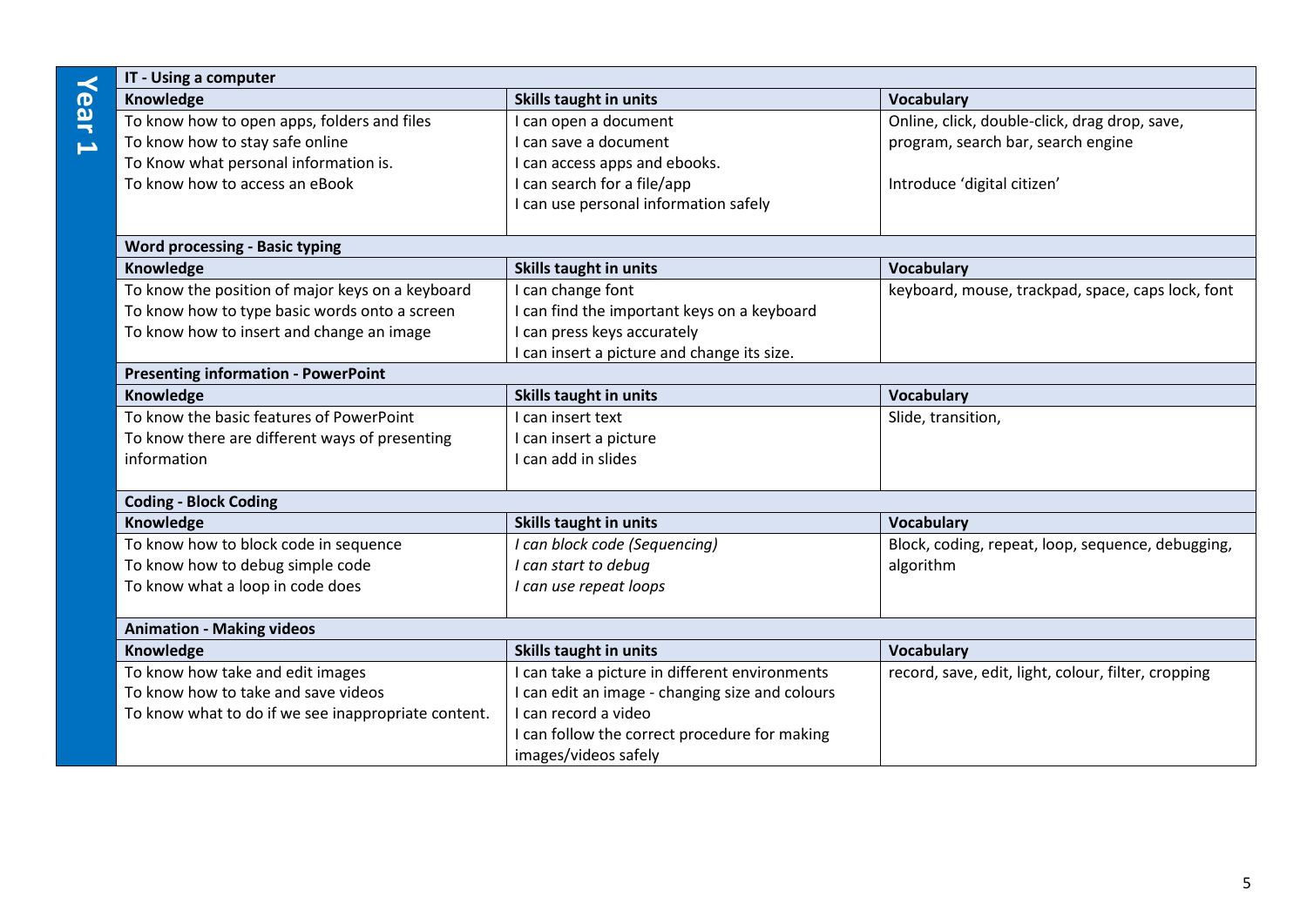|                          | IT - Using a computer                               |                                                 |                                                     |  |
|--------------------------|-----------------------------------------------------|-------------------------------------------------|-----------------------------------------------------|--|
| Year                     | Knowledge                                           | Skills taught in units                          | <b>Vocabulary</b>                                   |  |
|                          | To know how to open apps, folders and files         | can open a document                             | Online, click, double-click, drag drop, save,       |  |
| $\overline{\phantom{0}}$ | To know how to stay safe online                     | I can save a document                           | program, search bar, search engine                  |  |
|                          | To Know what personal information is.               | can access apps and ebooks.                     |                                                     |  |
|                          | To know how to access an eBook                      | I can search for a file/app                     | Introduce 'digital citizen'                         |  |
|                          |                                                     | I can use personal information safely           |                                                     |  |
|                          |                                                     |                                                 |                                                     |  |
|                          | <b>Word processing - Basic typing</b>               |                                                 |                                                     |  |
|                          | Knowledge                                           | Skills taught in units                          | <b>Vocabulary</b>                                   |  |
|                          | To know the position of major keys on a keyboard    | can change font                                 | keyboard, mouse, trackpad, space, caps lock, font   |  |
|                          | To know how to type basic words onto a screen       | can find the important keys on a keyboard       |                                                     |  |
|                          | To know how to insert and change an image           | I can press keys accurately                     |                                                     |  |
|                          |                                                     | I can insert a picture and change its size.     |                                                     |  |
|                          | <b>Presenting information - PowerPoint</b>          |                                                 |                                                     |  |
|                          | Knowledge                                           | <b>Skills taught in units</b>                   | <b>Vocabulary</b>                                   |  |
|                          | To know the basic features of PowerPoint            | I can insert text                               | Slide, transition,                                  |  |
|                          | To know there are different ways of presenting      | I can insert a picture                          |                                                     |  |
|                          | information                                         | I can add in slides                             |                                                     |  |
|                          | <b>Coding - Block Coding</b>                        |                                                 |                                                     |  |
|                          | Knowledge                                           | Skills taught in units                          | <b>Vocabulary</b>                                   |  |
|                          | To know how to block code in sequence               | I can block code (Sequencing)                   | Block, coding, repeat, loop, sequence, debugging,   |  |
|                          | To know how to debug simple code                    | I can start to debug                            | algorithm                                           |  |
|                          | To know what a loop in code does                    | I can use repeat loops                          |                                                     |  |
|                          | <b>Animation - Making videos</b>                    |                                                 |                                                     |  |
|                          | Knowledge                                           | <b>Skills taught in units</b>                   | <b>Vocabulary</b>                                   |  |
|                          | To know how take and edit images                    | can take a picture in different environments    | record, save, edit, light, colour, filter, cropping |  |
|                          | To know how to take and save videos                 | I can edit an image - changing size and colours |                                                     |  |
|                          | To know what to do if we see inappropriate content. | I can record a video                            |                                                     |  |
|                          |                                                     | I can follow the correct procedure for making   |                                                     |  |
|                          |                                                     | images/videos safely                            |                                                     |  |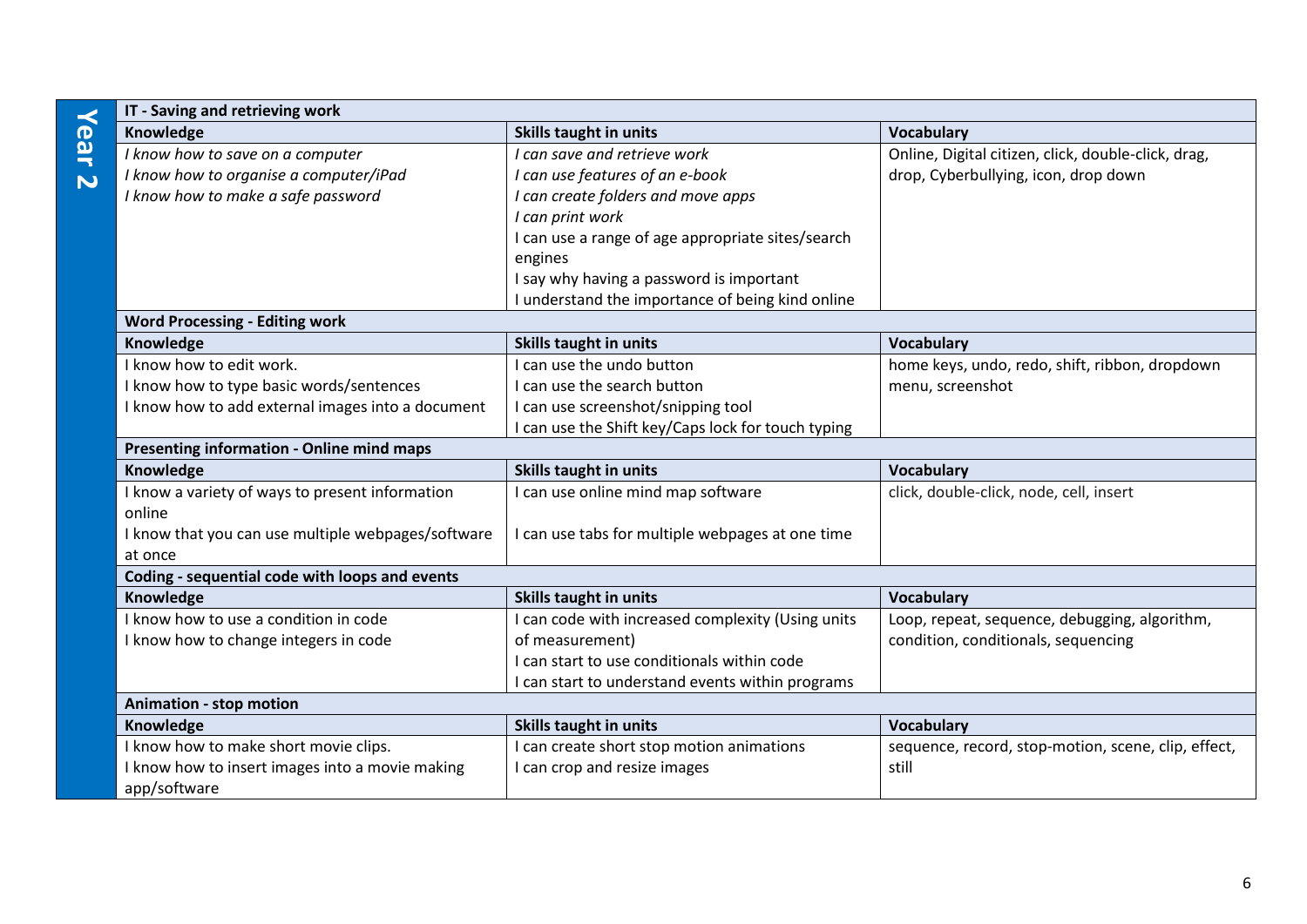| IT - Saving and retrieving work                    |                                                    |                                                     |  |
|----------------------------------------------------|----------------------------------------------------|-----------------------------------------------------|--|
| Knowledge                                          | <b>Skills taught in units</b>                      | <b>Vocabulary</b>                                   |  |
| I know how to save on a computer                   | I can save and retrieve work                       | Online, Digital citizen, click, double-click, drag, |  |
| I know how to organise a computer/iPad             | I can use features of an e-book                    | drop, Cyberbullying, icon, drop down                |  |
| I know how to make a safe password                 | I can create folders and move apps                 |                                                     |  |
|                                                    | I can print work                                   |                                                     |  |
|                                                    | I can use a range of age appropriate sites/search  |                                                     |  |
|                                                    | engines                                            |                                                     |  |
|                                                    | I say why having a password is important           |                                                     |  |
|                                                    | I understand the importance of being kind online   |                                                     |  |
| <b>Word Processing - Editing work</b>              |                                                    |                                                     |  |
| Knowledge                                          | Skills taught in units                             | <b>Vocabulary</b>                                   |  |
| I know how to edit work.                           | I can use the undo button                          | home keys, undo, redo, shift, ribbon, dropdown      |  |
| I know how to type basic words/sentences           | I can use the search button                        | menu, screenshot                                    |  |
| I know how to add external images into a document  | I can use screenshot/snipping tool                 |                                                     |  |
|                                                    | I can use the Shift key/Caps lock for touch typing |                                                     |  |
| Presenting information - Online mind maps          |                                                    |                                                     |  |
| Knowledge                                          | Skills taught in units                             | <b>Vocabulary</b>                                   |  |
| I know a variety of ways to present information    | I can use online mind map software                 | click, double-click, node, cell, insert             |  |
| online                                             |                                                    |                                                     |  |
| I know that you can use multiple webpages/software | I can use tabs for multiple webpages at one time   |                                                     |  |
| at once                                            |                                                    |                                                     |  |
| Coding - sequential code with loops and events     |                                                    |                                                     |  |
| Knowledge                                          | Skills taught in units                             | <b>Vocabulary</b>                                   |  |
| I know how to use a condition in code              | I can code with increased complexity (Using units  | Loop, repeat, sequence, debugging, algorithm,       |  |
| I know how to change integers in code              | of measurement)                                    | condition, conditionals, sequencing                 |  |
|                                                    | I can start to use conditionals within code        |                                                     |  |
|                                                    | I can start to understand events within programs   |                                                     |  |
| <b>Animation - stop motion</b>                     |                                                    |                                                     |  |
| Knowledge                                          | <b>Skills taught in units</b>                      | <b>Vocabulary</b>                                   |  |
| I know how to make short movie clips.              | I can create short stop motion animations          | sequence, record, stop-motion, scene, clip, effect, |  |
| I know how to insert images into a movie making    | I can crop and resize images                       | still                                               |  |
| app/software                                       |                                                    |                                                     |  |

**Year** 

**2**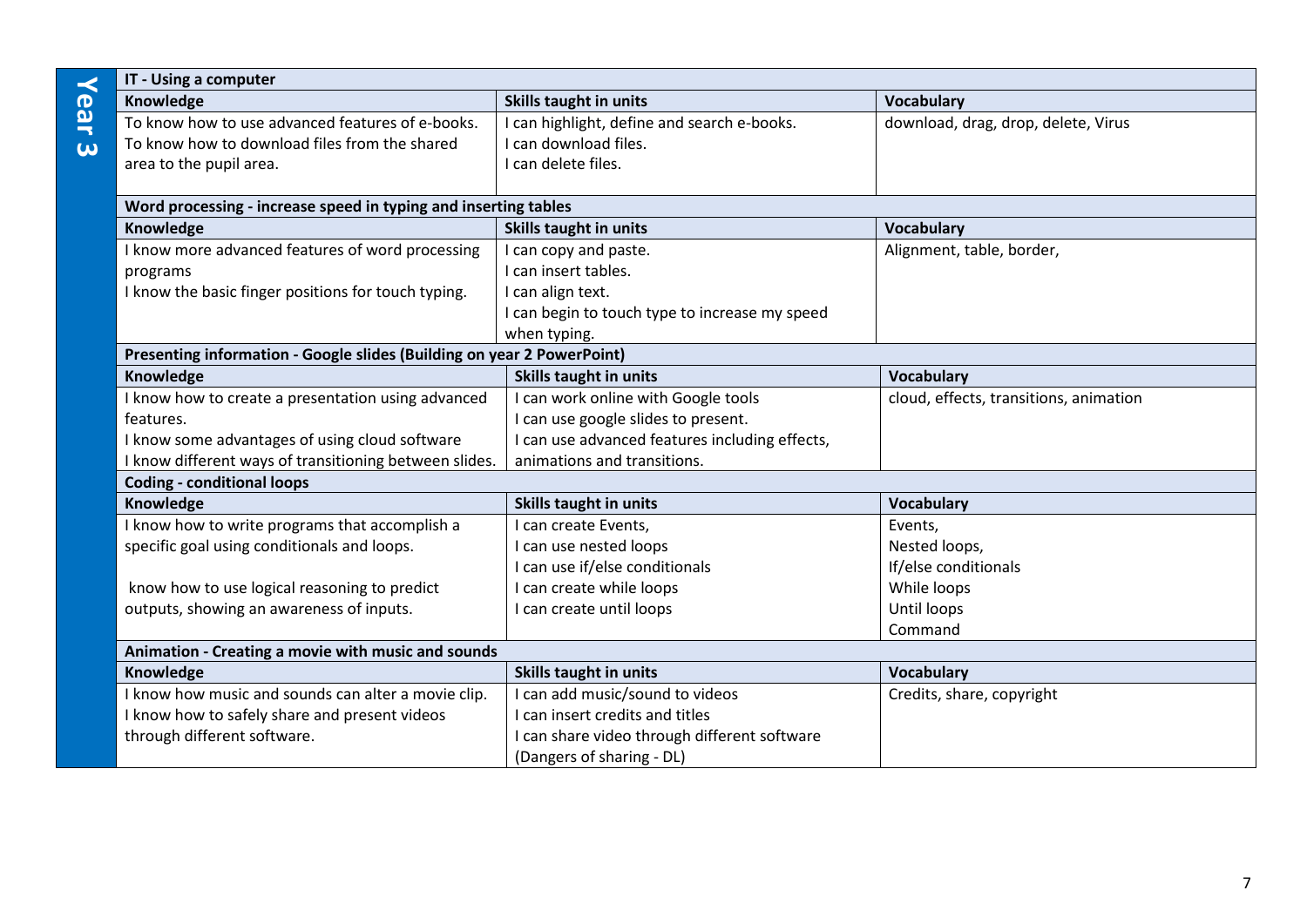|          | IT - Using a computer                                                  |                                                |                                        |
|----------|------------------------------------------------------------------------|------------------------------------------------|----------------------------------------|
| Year     | Knowledge                                                              | Skills taught in units                         | <b>Vocabulary</b>                      |
|          | To know how to use advanced features of e-books.                       | I can highlight, define and search e-books.    | download, drag, drop, delete, Virus    |
| $\omega$ | To know how to download files from the shared                          | I can download files.                          |                                        |
|          | area to the pupil area.                                                | I can delete files.                            |                                        |
|          |                                                                        |                                                |                                        |
|          | Word processing - increase speed in typing and inserting tables        |                                                |                                        |
|          | Knowledge                                                              | Skills taught in units                         | <b>Vocabulary</b>                      |
|          | I know more advanced features of word processing                       | I can copy and paste.                          | Alignment, table, border,              |
|          | programs                                                               | I can insert tables.                           |                                        |
|          | I know the basic finger positions for touch typing.                    | I can align text.                              |                                        |
|          |                                                                        | I can begin to touch type to increase my speed |                                        |
|          |                                                                        | when typing.                                   |                                        |
|          | Presenting information - Google slides (Building on year 2 PowerPoint) |                                                |                                        |
|          | Knowledge                                                              | Skills taught in units                         | <b>Vocabulary</b>                      |
|          | I know how to create a presentation using advanced                     | I can work online with Google tools            | cloud, effects, transitions, animation |
|          | features.                                                              | I can use google slides to present.            |                                        |
|          | I know some advantages of using cloud software                         | I can use advanced features including effects, |                                        |
|          | I know different ways of transitioning between slides.                 | animations and transitions.                    |                                        |
|          | <b>Coding - conditional loops</b>                                      |                                                |                                        |
|          | Knowledge                                                              | Skills taught in units                         | <b>Vocabulary</b>                      |
|          | I know how to write programs that accomplish a                         | I can create Events,                           | Events,                                |
|          | specific goal using conditionals and loops.                            | I can use nested loops                         | Nested loops,                          |
|          |                                                                        | I can use if/else conditionals                 | If/else conditionals                   |
|          | know how to use logical reasoning to predict                           | I can create while loops                       | While loops                            |
|          | outputs, showing an awareness of inputs.                               | I can create until loops                       | Until loops                            |
|          |                                                                        |                                                | Command                                |
|          | Animation - Creating a movie with music and sounds                     |                                                |                                        |
|          | Knowledge                                                              | Skills taught in units                         | <b>Vocabulary</b>                      |
|          | I know how music and sounds can alter a movie clip.                    | I can add music/sound to videos                | Credits, share, copyright              |
|          | I know how to safely share and present videos                          | I can insert credits and titles                |                                        |
|          | through different software.                                            | I can share video through different software   |                                        |
|          |                                                                        | (Dangers of sharing - DL)                      |                                        |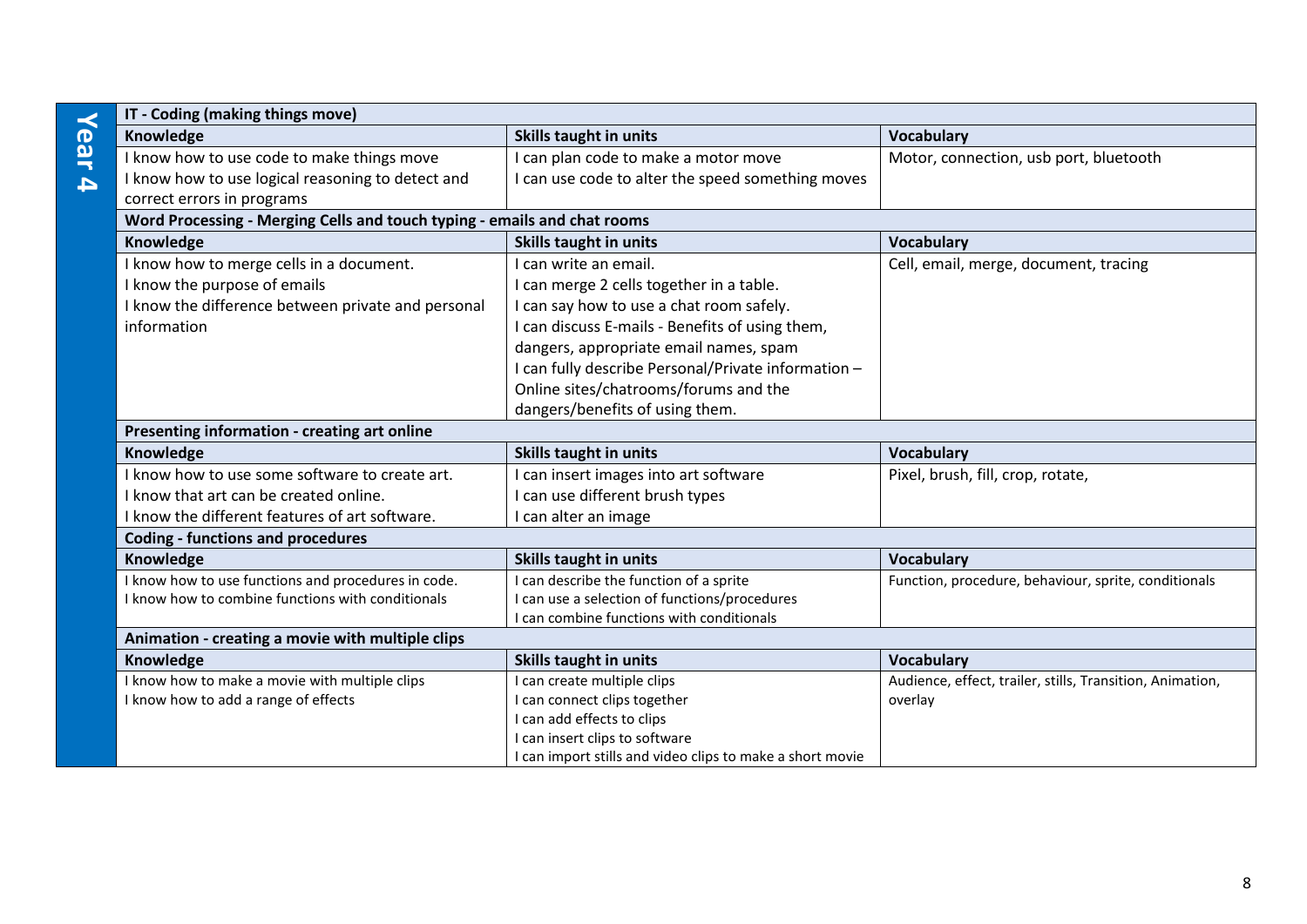| $\prec$          | IT - Coding (making things move)                                         |                                                                                             |                                                           |
|------------------|--------------------------------------------------------------------------|---------------------------------------------------------------------------------------------|-----------------------------------------------------------|
| ear              | Knowledge                                                                | Skills taught in units                                                                      | <b>Vocabulary</b>                                         |
|                  | I know how to use code to make things move                               | I can plan code to make a motor move                                                        | Motor, connection, usb port, bluetooth                    |
| $\blacktriangle$ | I know how to use logical reasoning to detect and                        | I can use code to alter the speed something moves                                           |                                                           |
|                  | correct errors in programs                                               |                                                                                             |                                                           |
|                  | Word Processing - Merging Cells and touch typing - emails and chat rooms |                                                                                             |                                                           |
|                  | Knowledge                                                                | <b>Skills taught in units</b>                                                               | <b>Vocabulary</b>                                         |
|                  | I know how to merge cells in a document.                                 | I can write an email.                                                                       | Cell, email, merge, document, tracing                     |
|                  | I know the purpose of emails                                             | I can merge 2 cells together in a table.                                                    |                                                           |
|                  | I know the difference between private and personal                       | I can say how to use a chat room safely.                                                    |                                                           |
|                  | information                                                              | I can discuss E-mails - Benefits of using them,                                             |                                                           |
|                  |                                                                          | dangers, appropriate email names, spam                                                      |                                                           |
|                  |                                                                          | I can fully describe Personal/Private information -                                         |                                                           |
|                  |                                                                          | Online sites/chatrooms/forums and the                                                       |                                                           |
|                  |                                                                          | dangers/benefits of using them.                                                             |                                                           |
|                  | Presenting information - creating art online                             |                                                                                             |                                                           |
|                  | Knowledge                                                                | <b>Skills taught in units</b>                                                               | <b>Vocabulary</b>                                         |
|                  | I know how to use some software to create art.                           | I can insert images into art software                                                       | Pixel, brush, fill, crop, rotate,                         |
|                  | I know that art can be created online.                                   | I can use different brush types                                                             |                                                           |
|                  | I know the different features of art software.                           | I can alter an image                                                                        |                                                           |
|                  | <b>Coding - functions and procedures</b>                                 |                                                                                             |                                                           |
|                  | Knowledge                                                                | Skills taught in units                                                                      | <b>Vocabulary</b>                                         |
|                  | I know how to use functions and procedures in code.                      | I can describe the function of a sprite                                                     | Function, procedure, behaviour, sprite, conditionals      |
|                  | I know how to combine functions with conditionals                        | I can use a selection of functions/procedures                                               |                                                           |
|                  |                                                                          | I can combine functions with conditionals                                                   |                                                           |
|                  | Animation - creating a movie with multiple clips                         |                                                                                             |                                                           |
|                  | Knowledge                                                                | <b>Skills taught in units</b>                                                               | <b>Vocabulary</b>                                         |
|                  | I know how to make a movie with multiple clips                           | I can create multiple clips                                                                 | Audience, effect, trailer, stills, Transition, Animation, |
|                  | I know how to add a range of effects                                     | I can connect clips together                                                                | overlay                                                   |
|                  |                                                                          | I can add effects to clips                                                                  |                                                           |
|                  |                                                                          | I can insert clips to software<br>I can import stills and video clips to make a short movie |                                                           |
|                  |                                                                          |                                                                                             |                                                           |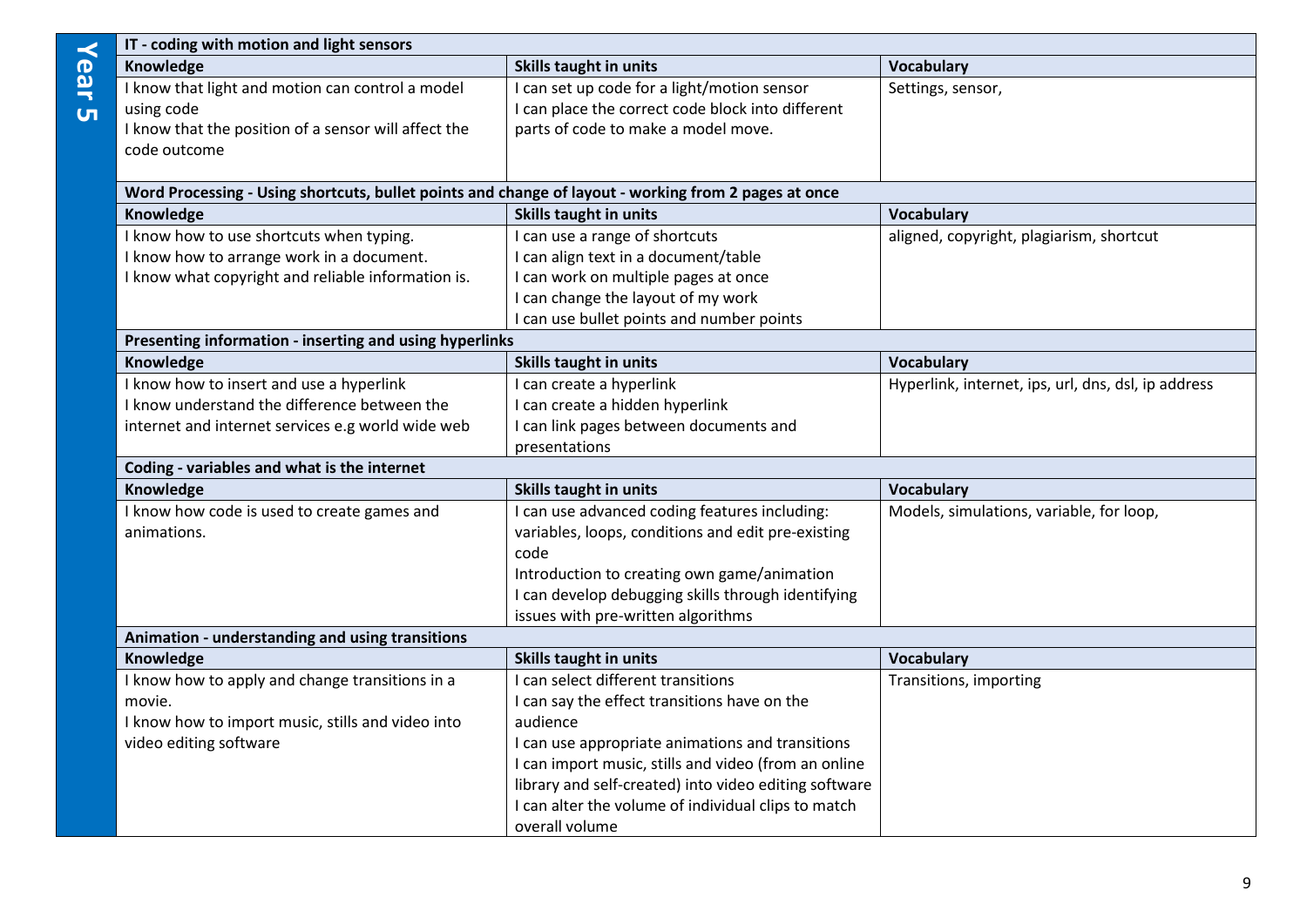|                | IT - coding with motion and light sensors                                                            |                                                       |                                                     |  |  |
|----------------|------------------------------------------------------------------------------------------------------|-------------------------------------------------------|-----------------------------------------------------|--|--|
| Year           | Knowledge                                                                                            | Skills taught in units                                | Vocabulary                                          |  |  |
|                | I know that light and motion can control a model                                                     | can set up code for a light/motion sensor             | Settings, sensor,                                   |  |  |
| $\overline{u}$ | using code                                                                                           | I can place the correct code block into different     |                                                     |  |  |
|                | I know that the position of a sensor will affect the                                                 | parts of code to make a model move.                   |                                                     |  |  |
|                | code outcome                                                                                         |                                                       |                                                     |  |  |
|                | Word Processing - Using shortcuts, bullet points and change of layout - working from 2 pages at once |                                                       |                                                     |  |  |
|                | Knowledge                                                                                            | Skills taught in units                                | Vocabulary                                          |  |  |
|                | I know how to use shortcuts when typing.                                                             | I can use a range of shortcuts                        | aligned, copyright, plagiarism, shortcut            |  |  |
|                | I know how to arrange work in a document.                                                            | I can align text in a document/table                  |                                                     |  |  |
|                | I know what copyright and reliable information is.                                                   | I can work on multiple pages at once                  |                                                     |  |  |
|                |                                                                                                      | I can change the layout of my work                    |                                                     |  |  |
|                |                                                                                                      | I can use bullet points and number points             |                                                     |  |  |
|                | Presenting information - inserting and using hyperlinks                                              |                                                       |                                                     |  |  |
|                | Knowledge                                                                                            | Skills taught in units                                | Vocabulary                                          |  |  |
|                | I know how to insert and use a hyperlink                                                             | I can create a hyperlink                              | Hyperlink, internet, ips, url, dns, dsl, ip address |  |  |
|                | I know understand the difference between the                                                         | I can create a hidden hyperlink                       |                                                     |  |  |
|                | internet and internet services e.g world wide web                                                    | I can link pages between documents and                |                                                     |  |  |
|                |                                                                                                      | presentations                                         |                                                     |  |  |
|                | Coding - variables and what is the internet                                                          |                                                       |                                                     |  |  |
|                | Knowledge                                                                                            | Skills taught in units                                | Vocabulary                                          |  |  |
|                | I know how code is used to create games and                                                          | I can use advanced coding features including:         | Models, simulations, variable, for loop,            |  |  |
|                | animations.                                                                                          | variables, loops, conditions and edit pre-existing    |                                                     |  |  |
|                |                                                                                                      | code                                                  |                                                     |  |  |
|                |                                                                                                      | Introduction to creating own game/animation           |                                                     |  |  |
|                |                                                                                                      | I can develop debugging skills through identifying    |                                                     |  |  |
|                |                                                                                                      | issues with pre-written algorithms                    |                                                     |  |  |
|                | Animation - understanding and using transitions                                                      |                                                       |                                                     |  |  |
|                | Knowledge                                                                                            | Skills taught in units                                | Vocabulary                                          |  |  |
|                | I know how to apply and change transitions in a                                                      | I can select different transitions                    | Transitions, importing                              |  |  |
|                | movie.                                                                                               | I can say the effect transitions have on the          |                                                     |  |  |
|                | I know how to import music, stills and video into                                                    | audience                                              |                                                     |  |  |
|                | video editing software                                                                               | I can use appropriate animations and transitions      |                                                     |  |  |
|                |                                                                                                      | I can import music, stills and video (from an online  |                                                     |  |  |
|                |                                                                                                      | library and self-created) into video editing software |                                                     |  |  |
|                |                                                                                                      | I can alter the volume of individual clips to match   |                                                     |  |  |
|                |                                                                                                      | overall volume                                        |                                                     |  |  |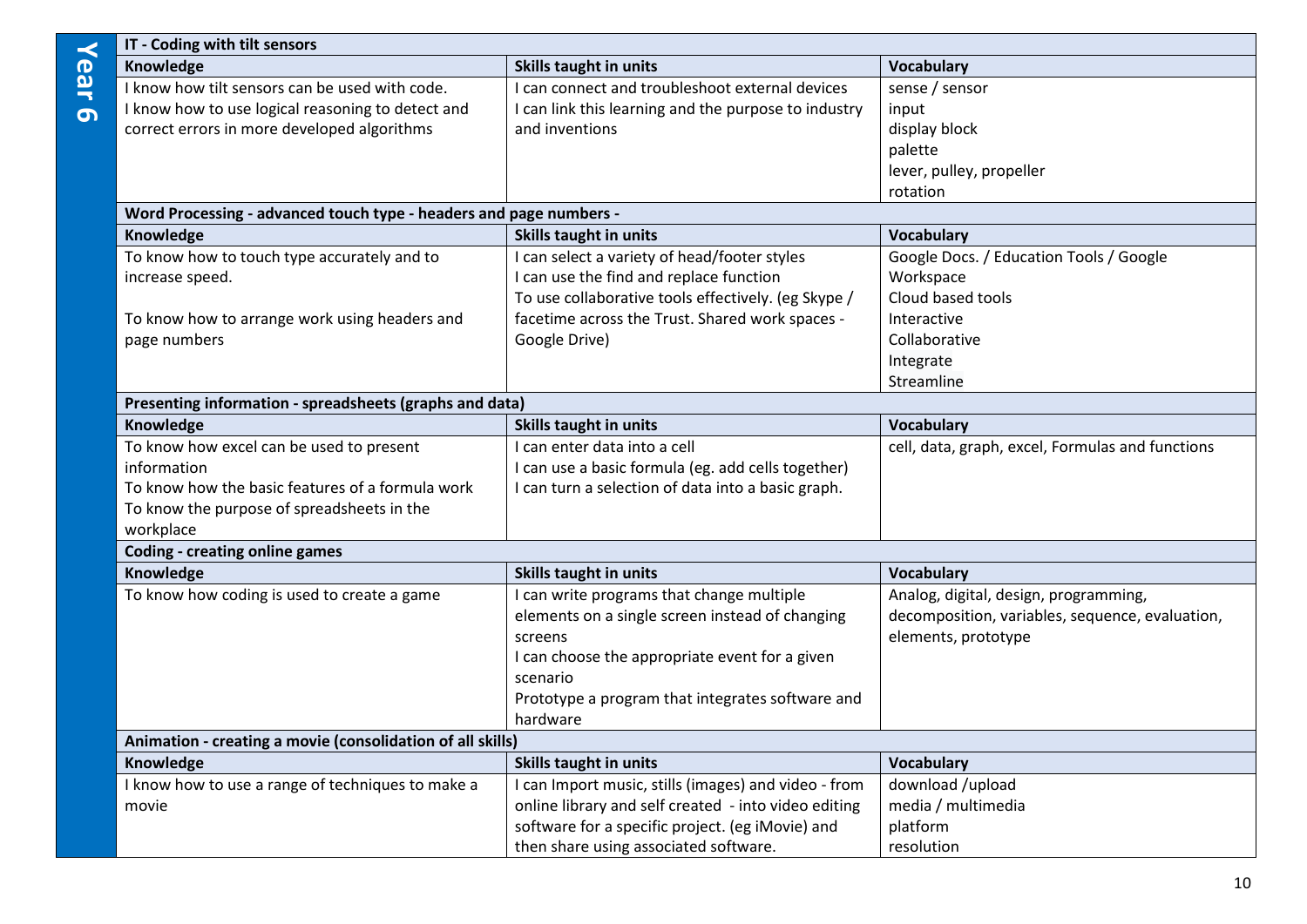|          | IT - Coding with tilt sensors                                      |                                                      |                                                  |  |
|----------|--------------------------------------------------------------------|------------------------------------------------------|--------------------------------------------------|--|
| Year     | Knowledge                                                          | <b>Skills taught in units</b>                        | <b>Vocabulary</b>                                |  |
|          | I know how tilt sensors can be used with code.                     | I can connect and troubleshoot external devices      | sense / sensor                                   |  |
| $\sigma$ | I know how to use logical reasoning to detect and                  | I can link this learning and the purpose to industry | input                                            |  |
|          | correct errors in more developed algorithms                        | and inventions                                       | display block                                    |  |
|          |                                                                    |                                                      | palette                                          |  |
|          |                                                                    |                                                      | lever, pulley, propeller                         |  |
|          |                                                                    |                                                      | rotation                                         |  |
|          | Word Processing - advanced touch type - headers and page numbers - |                                                      |                                                  |  |
|          | Knowledge                                                          | <b>Skills taught in units</b>                        | <b>Vocabulary</b>                                |  |
|          | To know how to touch type accurately and to                        | can select a variety of head/footer styles           | Google Docs. / Education Tools / Google          |  |
|          | increase speed.                                                    | I can use the find and replace function              | Workspace                                        |  |
|          |                                                                    | To use collaborative tools effectively. (eg Skype /  | Cloud based tools                                |  |
|          | To know how to arrange work using headers and                      | facetime across the Trust. Shared work spaces -      | Interactive                                      |  |
|          | page numbers                                                       | Google Drive)                                        | Collaborative                                    |  |
|          |                                                                    |                                                      | Integrate                                        |  |
|          |                                                                    |                                                      | Streamline                                       |  |
|          | Presenting information - spreadsheets (graphs and data)            |                                                      |                                                  |  |
|          | Knowledge                                                          | <b>Skills taught in units</b>                        | <b>Vocabulary</b>                                |  |
|          | To know how excel can be used to present                           | I can enter data into a cell                         | cell, data, graph, excel, Formulas and functions |  |
|          | information                                                        | I can use a basic formula (eg. add cells together)   |                                                  |  |
|          | To know how the basic features of a formula work                   | I can turn a selection of data into a basic graph.   |                                                  |  |
|          | To know the purpose of spreadsheets in the                         |                                                      |                                                  |  |
|          | workplace                                                          |                                                      |                                                  |  |
|          | <b>Coding - creating online games</b>                              |                                                      |                                                  |  |
|          | Knowledge                                                          | <b>Skills taught in units</b>                        | <b>Vocabulary</b>                                |  |
|          | To know how coding is used to create a game                        | I can write programs that change multiple            | Analog, digital, design, programming,            |  |
|          |                                                                    | elements on a single screen instead of changing      | decomposition, variables, sequence, evaluation,  |  |
|          |                                                                    | screens                                              | elements, prototype                              |  |
|          |                                                                    | I can choose the appropriate event for a given       |                                                  |  |
|          |                                                                    | scenario                                             |                                                  |  |
|          |                                                                    | Prototype a program that integrates software and     |                                                  |  |
|          |                                                                    | hardware                                             |                                                  |  |
|          | Animation - creating a movie (consolidation of all skills)         |                                                      |                                                  |  |
|          | Knowledge                                                          | <b>Skills taught in units</b>                        | <b>Vocabulary</b>                                |  |
|          | I know how to use a range of techniques to make a                  | I can Import music, stills (images) and video - from | download /upload                                 |  |
|          | movie                                                              | online library and self created - into video editing | media / multimedia                               |  |
|          |                                                                    | software for a specific project. (eg iMovie) and     | platform                                         |  |
|          |                                                                    | then share using associated software.                | resolution                                       |  |